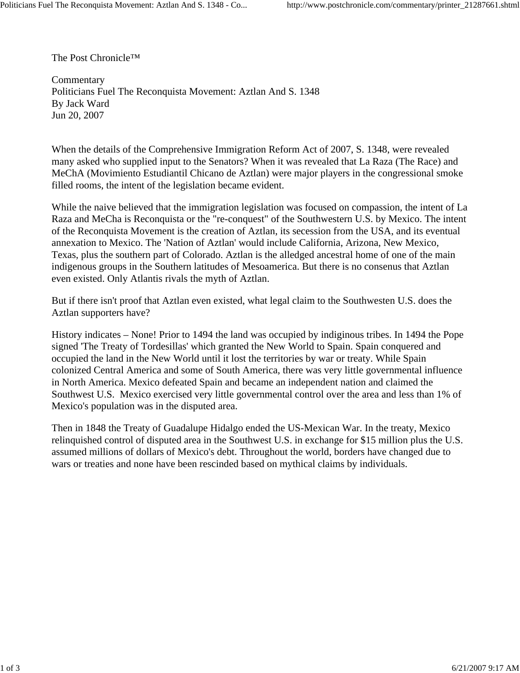The Post Chronicle™

Commentary Politicians Fuel The Reconquista Movement: Aztlan And S. 1348 By Jack Ward Jun 20, 2007

When the details of the Comprehensive Immigration Reform Act of 2007, S. 1348, were revealed many asked who supplied input to the Senators? When it was revealed that La Raza (The Race) and MeChA (Movimiento Estudiantil Chicano de Aztlan) were major players in the congressional smoke filled rooms, the intent of the legislation became evident.

While the naive believed that the immigration legislation was focused on compassion, the intent of La Raza and MeCha is Reconquista or the "re-conquest" of the Southwestern U.S. by Mexico. The intent of the Reconquista Movement is the creation of Aztlan, its secession from the USA, and its eventual annexation to Mexico. The 'Nation of Aztlan' would include California, Arizona, New Mexico, Texas, plus the southern part of Colorado. Aztlan is the alledged ancestral home of one of the main indigenous groups in the Southern latitudes of Mesoamerica. But there is no consenus that Aztlan even existed. Only Atlantis rivals the myth of Aztlan.

But if there isn't proof that Aztlan even existed, what legal claim to the Southwesten U.S. does the Aztlan supporters have?

History indicates – None! Prior to 1494 the land was occupied by indiginous tribes. In 1494 the Pope signed 'The Treaty of Tordesillas' which granted the New World to Spain. Spain conquered and occupied the land in the New World until it lost the territories by war or treaty. While Spain colonized Central America and some of South America, there was very little governmental influence in North America. Mexico defeated Spain and became an independent nation and claimed the Southwest U.S. Mexico exercised very little governmental control over the area and less than 1% of Mexico's population was in the disputed area.

Then in 1848 the Treaty of Guadalupe Hidalgo ended the US-Mexican War. In the treaty, Mexico relinquished control of disputed area in the Southwest U.S. in exchange for \$15 million plus the U.S. assumed millions of dollars of Mexico's debt. Throughout the world, borders have changed due to wars or treaties and none have been rescinded based on mythical claims by individuals.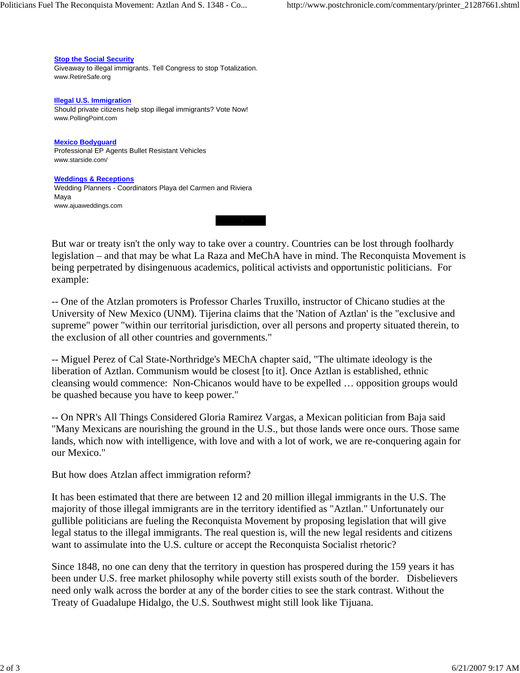But war or treaty isn't the only way to take over a country. Countries can be lost through foolhardy legislation – and that may be what La Raza and MeChA have in mind. The Reconquista Movement is being perpetrated by disingenuous academics, political activists and opportunistic politicians. For example:

-- One of the Atzlan promoters is Professor Charles Truxillo, instructor of Chicano studies at the University of New Mexico (UNM). Tijerina claims that the 'Nation of Aztlan' is the "exclusive and supreme" power "within our territorial jurisdiction, over all persons and property situated therein, to the exclusion of all other countries and governments."

-- Miguel Perez of Cal State-Northridge's MEChA chapter said, "The ultimate ideology is the liberation of Aztlan. Communism would be closest [to it]. Once Aztlan is established, ethnic cleansing would commence: Non-Chicanos would have to be expelled … opposition groups would be quashed because you have to keep power."

-- On NPR's All Things Considered Gloria Ramirez Vargas, a Mexican politician from Baja said "Many Mexicans are nourishing the ground in the U.S., but those lands were once ours. Those same lands, which now with intelligence, with love and with a lot of work, we are re-conquering again for our Mexico."

But how does Atzlan affect immigration reform?

It has been estimated that there are between 12 and 20 million illegal immigrants in the U.S. The majority of those illegal immigrants are in the territory identified as "Aztlan." Unfortunately our gullible politicians are fueling the Reconquista Movement by proposing legislation that will give legal status to the illegal immigrants. The real question is, will the new legal residents and citizens want to assimulate into the U.S. culture or accept the Reconquista Socialist rhetoric?

Since 1848, no one can deny that the territory in question has prospered during the 159 years it has been under U.S. free market philosophy while poverty still exists south of the border. Disbelievers need only walk across the border at any of the border cities to see the stark contrast. Without the Treaty of Guadalupe Hidalgo, the U.S. Southwest might still look like Tijuana.